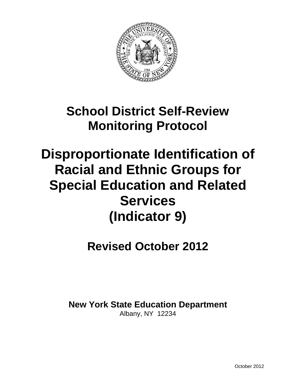

# **School District Self-Review Monitoring Protocol**

# **Disproportionate Identification of Racial and Ethnic Groups for Special Education and Related Services (Indicator 9)**

# **Revised October 2012**

**New York State Education Department** Albany, NY 12234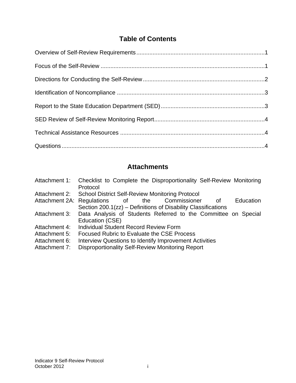# **Table of Contents**

# **Attachments**

| Checklist to Complete the Disproportionality Self-Review Monitoring<br>Protocol |
|---------------------------------------------------------------------------------|
| Attachment 2: School District Self-Review Monitoring Protocol                   |
| Attachment 2A: Regulations of the Commissioner<br>Education<br>οf               |
| Section 200.1(zz) – Definitions of Disability Classifications                   |
| Data Analysis of Students Referred to the Committee on Special                  |
| Education (CSE)                                                                 |
| <b>Individual Student Record Review Form</b>                                    |
| <b>Focused Rubric to Evaluate the CSE Process</b>                               |
| <b>Interview Questions to Identify Improvement Activities</b>                   |
| Disproportionality Self-Review Monitoring Report                                |
|                                                                                 |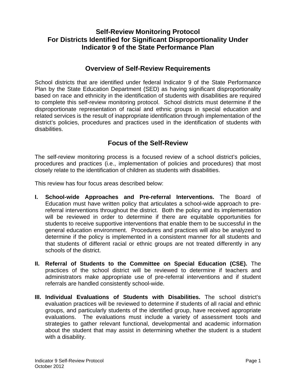# **Self-Review Monitoring Protocol For Districts Identified for Significant Disproportionality Under Indicator 9 of the State Performance Plan**

# **Overview of Self-Review Requirements**

School districts that are identified under federal Indicator 9 of the State Performance Plan by the State Education Department (SED) as having significant disproportionality based on race and ethnicity in the identification of students with disabilities are required to complete this self-review monitoring protocol. School districts must determine if the disproportionate representation of racial and ethnic groups in special education and related services is the result of inappropriate identification through implementation of the district's policies, procedures and practices used in the identification of students with disabilities.

# **Focus of the Self-Review**

The self-review monitoring process is a focused review of a school district's policies, procedures and practices (i.e., implementation of policies and procedures) that most closely relate to the identification of children as students with disabilities.

This review has four focus areas described below:

- **I. School-wide Approaches and Pre-referral Interventions.** The Board of Education must have written policy that articulates a school-wide approach to prereferral interventions throughout the district. Both the policy and its implementation will be reviewed in order to determine if there are equitable opportunities for students to receive supportive interventions that enable them to be successful in the general education environment. Procedures and practices will also be analyzed to determine if the policy is implemented in a consistent manner for all students and that students of different racial or ethnic groups are not treated differently in any schools of the district.
- **II. Referral of Students to the Committee on Special Education (CSE).** The practices of the school district will be reviewed to determine if teachers and administrators make appropriate use of pre-referral interventions and if student referrals are handled consistently school-wide.
- **III. Individual Evaluations of Students with Disabilities.** The school district's evaluation practices will be reviewed to determine if students of all racial and ethnic groups, and particularly students of the identified group, have received appropriate evaluations. The evaluations must include a variety of assessment tools and strategies to gather relevant functional, developmental and academic information about the student that may assist in determining whether the student is a student with a disability.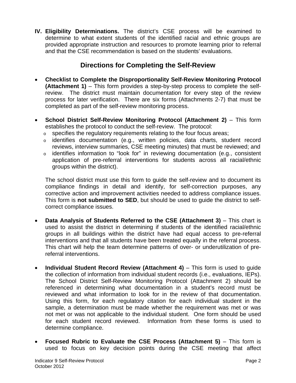**IV. Eligibility Determinations.** The district's CSE process will be examined to determine to what extent students of the identified racial and ethnic groups are provided appropriate instruction and resources to promote learning prior to referral and that the CSE recommendation is based on the students' evaluations.

# **Directions for Completing the Self-Review**

- **Checklist to Complete the Disproportionality Self-Review Monitoring Protocol (Attachment 1)** – This form provides a step-by-step process to complete the selfreview. The district must maintain documentation for every step of the review process for later verification. There are six forms (Attachments 2-7) that must be completed as part of the self-review monitoring process.
- • **School District Self-Review Monitoring Protocol (Attachment 2)** This form establishes the protocol to conduct the self-review. The protocol:
	- $\circ$  specifies the regulatory requirements relating to the four focus areas;
	- $\circ$  identifies documentation (e.g., written policies, data charts, student record reviews, interview summaries, CSE meeting minutes) that must be reviewed; and
	- $\circ$  identifies information to "look for" in reviewing documentation (e.g., consistent application of pre-referral interventions for students across all racial/ethnic groups within the district).

The school district must use this form to guide the self-review and to document its compliance findings in detail and identify, for self-correction purposes, any corrective action and improvement activities needed to address compliance issues. This form is **not submitted to SED**, but should be used to guide the district to selfcorrect compliance issues.

- • **Data Analysis of Students Referred to the CSE (Attachment 3)** This chart is used to assist the district in determining if students of the identified racial/ethnic groups in all buildings within the district have had equal access to pre-referral interventions and that all students have been treated equally in the referral process. This chart will help the team determine patterns of over- or underutilization of prereferral interventions.
- reviewed and what information to look for in the review of that documentation. • **Individual Student Record Review (Attachment 4)** – This form is used to guide the collection of information from individual student records (i.e., evaluations, IEPs). The School District Self-Review Monitoring Protocol (Attachment 2) should be referenced in determining what documentation in a student's record must be Using this form, for each regulatory citation for each individual student in the sample, a determination must be made whether the requirement was met or was not met or was not applicable to the individual student. One form should be used for each student record reviewed. Information from these forms is used to determine compliance.
- • **Focused Rubric to Evaluate the CSE Process (Attachment 5)** This form is used to focus on key decision points during the CSE meeting that affect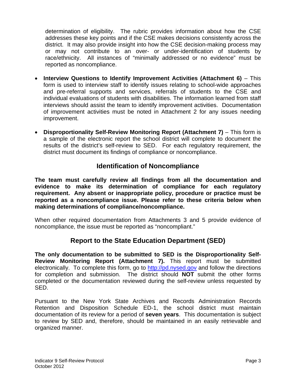determination of eligibility. The rubric provides information about how the CSE addresses these key points and if the CSE makes decisions consistently across the district. It may also provide insight into how the CSE decision-making process may or may not contribute to an over- or under-identification of students by race/ethnicity. All instances of "minimally addressed or no evidence" must be reported as noncompliance.

- • **Interview Questions to Identify Improvement Activities (Attachment 6)** This form is used to interview staff to identify issues relating to school-wide approaches and pre-referral supports and services, referrals of students to the CSE and individual evaluations of students with disabilities. The information learned from staff interviews should assist the team to identify improvement activities. Documentation of improvement activities must be noted in Attachment 2 for any issues needing improvement.
- • **Disproportionality Self-Review Monitoring Report (Attachment 7)** This form is a sample of the electronic report the school district will complete to document the results of the district's self-review to SED. For each regulatory requirement, the district must document its findings of compliance or noncompliance.

# **Identification of Noncompliance**

**The team must carefully review all findings from all the documentation and evidence to make its determination of compliance for each regulatory requirement. Any absent or inappropriate policy, procedure or practice must be reported as a noncompliance issue. Please refer to these criteria below when making determinations of compliance/noncompliance.** 

When other required documentation from Attachments 3 and 5 provide evidence of noncompliance, the issue must be reported as "noncompliant."

# **Report to the State Education Department (SED)**

**The only documentation to be submitted to SED is the Disproportionality Self-Review Monitoring Report (Attachment 7).** This report must be submitted electronically. To complete this form, go to http://pd.nysed.gov and follow the directions for completion and submission. The district should **NOT** submit the other forms completed or the documentation reviewed during the self-review unless requested by SED.

Pursuant to the New York State Archives and Records Administration Records Retention and Disposition Schedule ED-1, the school district must maintain documentation of its review for a period of **seven years**. This documentation is subject to review by SED and, therefore, should be maintained in an easily retrievable and organized manner.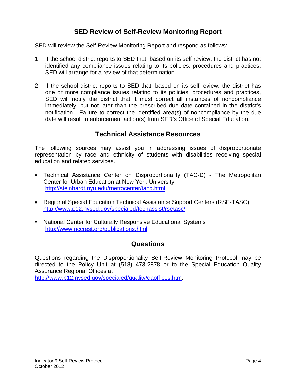# **SED Review of Self-Review Monitoring Report**

SED will review the Self-Review Monitoring Report and respond as follows:

- 1. If the school district reports to SED that, based on its self-review, the district has not identified any compliance issues relating to its policies, procedures and practices, SED will arrange for a review of that determination.
- 2. If the school district reports to SED that, based on its self-review, the district has one or more compliance issues relating to its policies, procedures and practices, SED will notify the district that it must correct all instances of noncompliance immediately, but not later than the prescribed due date contained in the district's notification. Failure to correct the identified area(s) of noncompliance by the due date will result in enforcement action(s) from SED's Office of Special Education.

# **Technical Assistance Resources**

The following sources may assist you in addressing issues of disproportionate representation by race and ethnicity of students with disabilities receiving special education and related services.

- Technical Assistance Center on Disproportionality (TAC-D) The Metropolitan Center for Urban Education at New York University http://steinhardt.nyu.edu/metrocenter/tacd.html
- • Regional Special Education Technical Assistance Support Centers (RSE-TASC) http://www.p12.nysed.gov/specialed/techassist/rsetasc/
- National Center for Culturally Responsive Educational Systems http://www.nccrest.org/publications.html

### **Questions**

Questions regarding the Disproportionality Self-Review Monitoring Protocol may be directed to the Policy Unit at (518) 473-2878 or to the Special Education Quality Assurance Regional Offices at

http://www.p12.nysed.gov/specialed/quality/qaoffices.htm.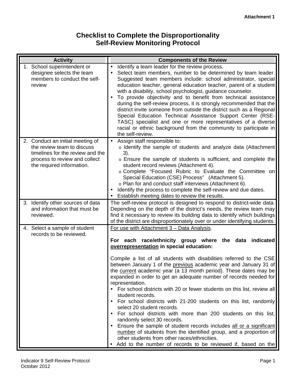# **Checklist to Complete the Disproportionality Self-Review Monitoring Protocol**

| <b>Activity</b>                                                                                                                                                  | <b>Components of the Review</b>                                                                                                                                                                                                                                                                                                                                                                                                                                                                                                                                                                                                                                                                                                                                                                                                                                                                                                                                                                                               |
|------------------------------------------------------------------------------------------------------------------------------------------------------------------|-------------------------------------------------------------------------------------------------------------------------------------------------------------------------------------------------------------------------------------------------------------------------------------------------------------------------------------------------------------------------------------------------------------------------------------------------------------------------------------------------------------------------------------------------------------------------------------------------------------------------------------------------------------------------------------------------------------------------------------------------------------------------------------------------------------------------------------------------------------------------------------------------------------------------------------------------------------------------------------------------------------------------------|
| 1. School superintendent or<br>designee selects the team<br>members to conduct the self-<br>review                                                               | Identify a team leader for the review process.<br>Select team members, number to be determined by team leader.<br>Suggested team members include: school administrator, special<br>education teacher, general education teacher, parent of a student<br>with a disability, school psychologist, guidance counselor.<br>To provide objectivity and to benefit from technical assistance<br>during the self-review process, it is strongly recommended that the<br>district invite someone from outside the district such as a Regional<br>Special Education Technical Assistance Support Center (RSE-<br>TASC) specialist and one or more representatives of a diverse<br>racial or ethnic background from the community to participate in<br>the self-review.                                                                                                                                                                                                                                                                 |
| 2. Conduct an initial meeting of<br>the review team to discuss<br>timelines for the review and the<br>process to review and collect<br>the required information. | Assign staff responsible to:<br>o Identify the sample of students and analyze data (Attachment<br>3).<br>o Ensure the sample of students is sufficient, and complete the<br>student record reviews (Attachment 4).<br>o Complete "Focused Rubric to Evaluate the Committee on<br>Special Education (CSE) Process" (Attachment 5).<br>o Plan for and conduct staff interviews (Attachment 6).<br>Identify the process to complete the self-review and due dates.<br>Establish meeting dates to review the results.                                                                                                                                                                                                                                                                                                                                                                                                                                                                                                             |
| 3. Identify other sources of data<br>and information that must be<br>reviewed.                                                                                   | The self-review protocol is designed to respond to district-wide data.<br>Depending on the depth of the district's needs, the review team may<br>find it necessary to review its building data to identify which buildings<br>of the district are disproportionately over or under identifying students.                                                                                                                                                                                                                                                                                                                                                                                                                                                                                                                                                                                                                                                                                                                      |
| 4. Select a sample of student<br>records to be reviewed.                                                                                                         | For use with Attachment 3 - Data Analysis.<br>For each race/ethnicity group where the data indicated<br>overrepresentation in special education:<br>Compile a list of all students with disabilities referred to the CSE<br>between January 1 of the previous academic year and January 31 of<br>the current academic year (a 13 month period). These dates may be<br>expanded in order to get an adequate number of records needed for<br>representation.<br>• For school districts with 20 or fewer students on this list, review all<br>student records.<br>• For school districts with 21-200 students on this list, randomly<br>select 20 student records.<br>For school districts with more than 200 students on this list,<br>randomly select 30 records.<br>• Ensure the sample of student records includes all or a significant<br>number of students from the identified group, and a proportion of<br>other students from other races/ethnicities.<br>Add to the number of records to be reviewed if, based on the |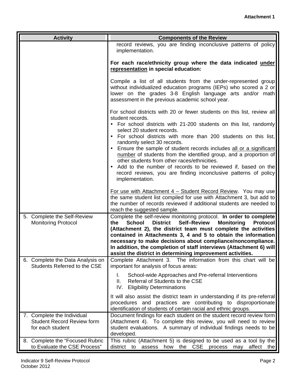| <b>Activity</b>                                                                     | <b>Components of the Review</b>                                                                                                                                                                                                                                                                                                                                                                                                                                                                                    |
|-------------------------------------------------------------------------------------|--------------------------------------------------------------------------------------------------------------------------------------------------------------------------------------------------------------------------------------------------------------------------------------------------------------------------------------------------------------------------------------------------------------------------------------------------------------------------------------------------------------------|
|                                                                                     | record reviews, you are finding inconclusive patterns of policy<br>implementation.                                                                                                                                                                                                                                                                                                                                                                                                                                 |
|                                                                                     | For each race/ethnicity group where the data indicated under<br>representation in special education:                                                                                                                                                                                                                                                                                                                                                                                                               |
|                                                                                     | Compile a list of all students from the under-represented group<br>without individualized education programs (IEPs) who scored a 2 or<br>lower on the grades 3-8 English language arts and/or math<br>assessment in the previous academic school year.                                                                                                                                                                                                                                                             |
|                                                                                     | For school districts with 20 or fewer students on this list, review all<br>student records.<br>• For school districts with 21-200 students on this list, randomly                                                                                                                                                                                                                                                                                                                                                  |
|                                                                                     | select 20 student records.<br>For school districts with more than 200 students on this list,<br>randomly select 30 records.                                                                                                                                                                                                                                                                                                                                                                                        |
|                                                                                     | Ensure the sample of student records includes all or a significant<br>number of students from the identified group, and a proportion of<br>other students from other races/ethnicities.                                                                                                                                                                                                                                                                                                                            |
|                                                                                     | Add to the number of records to be reviewed if, based on the<br>record reviews, you are finding inconclusive patterns of policy<br>implementation.                                                                                                                                                                                                                                                                                                                                                                 |
|                                                                                     | For use with Attachment 4 - Student Record Review. You may use<br>the same student list compiled for use with Attachment 3, but add to<br>the number of records reviewed if additional students are needed to<br>reach the suggested sample.                                                                                                                                                                                                                                                                       |
| 5. Complete the Self-Review<br><b>Monitoring Protocol</b>                           | Complete the self-review monitoring protocol. In order to complete<br><b>School</b><br><b>Self-Review</b><br><b>Monitoring</b><br>the<br><b>District</b><br><b>Protocol</b><br>(Attachment 2), the district team must complete the activities<br>contained in Attachments 3, 4 and 5 to obtain the information<br>necessary to make decisions about compliance/noncompliance.<br>In addition, the completion of staff interviews (Attachment 6) will<br>assist the district in determining improvement activities. |
| 6. Complete the Data Analysis on<br>Students Referred to the CSE                    | Complete Attachment 3. The information from this chart will be<br>important for analysis of focus areas:                                                                                                                                                                                                                                                                                                                                                                                                           |
|                                                                                     | $\mathbf{L}$<br>School-wide Approaches and Pre-referral Interventions<br>Referral of Students to the CSE<br>II.<br><b>Eligibility Determinations</b><br>IV.                                                                                                                                                                                                                                                                                                                                                        |
|                                                                                     | It will also assist the district team in understanding if its pre-referral<br>procedures and practices are contributing to disproportionate<br>identification of students of certain racial and ethnic groups.                                                                                                                                                                                                                                                                                                     |
| 7. Complete the Individual<br><b>Student Record Review form</b><br>for each student | Document findings for each student on the student record review form<br>(Attachment 4). To complete this review, you will need to review<br>student evaluations. A summary of individual findings needs to be<br>developed.                                                                                                                                                                                                                                                                                        |
| 8. Complete the "Focused Rubric<br>to Evaluate the CSE Process"                     | This rubric (Attachment 5) is designed to be used as a tool by the<br>how the CSE process may<br>district to assess<br>affect the                                                                                                                                                                                                                                                                                                                                                                                  |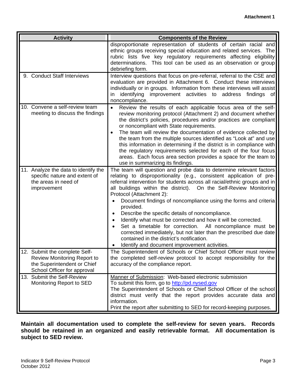| <b>Activity</b>                                                                                                                   | <b>Components of the Review</b>                                                                                                                                                                                                                                                                                                                                                                                                                                                                                                                                                                                                                                                                                                                                                         |
|-----------------------------------------------------------------------------------------------------------------------------------|-----------------------------------------------------------------------------------------------------------------------------------------------------------------------------------------------------------------------------------------------------------------------------------------------------------------------------------------------------------------------------------------------------------------------------------------------------------------------------------------------------------------------------------------------------------------------------------------------------------------------------------------------------------------------------------------------------------------------------------------------------------------------------------------|
|                                                                                                                                   | disproportionate representation of students of certain racial and<br>ethnic groups receiving special education and related services. The<br>rubric lists five key regulatory requirements affecting eligibility<br>determinations. This tool can be used as an observation or group<br>debriefing form.                                                                                                                                                                                                                                                                                                                                                                                                                                                                                 |
| 9. Conduct Staff Interviews                                                                                                       | Interview questions that focus on pre-referral, referral to the CSE and<br>evaluation are provided in Attachment 6. Conduct these interviews<br>individually or in groups. Information from these interviews will assist<br>improvement activities to address<br>identifying<br>findings<br>in.<br>of<br>noncompliance.                                                                                                                                                                                                                                                                                                                                                                                                                                                                 |
| 10. Convene a self-review team<br>meeting to discuss the findings                                                                 | Review the results of each applicable focus area of the self-<br>review monitoring protocol (Attachment 2) and document whether<br>the district's policies, procedures and/or practices are compliant<br>or noncompliant with State requirements.<br>The team will review the documentation of evidence collected by<br>the team from the multiple sources identified as "Look at" and use<br>this information in determining if the district is in compliance with<br>the regulatory requirements selected for each of the four focus<br>areas. Each focus area section provides a space for the team to<br>use in summarizing its findings.                                                                                                                                           |
| 11. Analyze the data to identify the<br>specific nature and extent of<br>the areas in need of<br>improvement                      | The team will question and probe data to determine relevant factors<br>relating to disproportionality (e.g., consistent application of pre-<br>referral intervention for students across all racial/ethnic groups and in<br>all buildings within the district). On the Self-Review Monitoring<br>Protocol (Attachment 2):<br>Document findings of noncompliance using the forms and criteria<br>provided.<br>Describe the specific details of noncompliance.<br>$\bullet$<br>Identify what must be corrected and how it will be corrected.<br>$\bullet$<br>Set a timetable for correction. All noncompliance must be<br>corrected immediately, but not later than the prescribed due date<br>contained in the district's notification.<br>Identify and document improvement activities. |
| 12. Submit the complete Self-<br><b>Review Monitoring Report to</b><br>the Superintendent or Chief<br>School Officer for approval | The Superintendent of Schools or Chief School Officer must review<br>the completed self-review protocol to accept responsibility for the<br>accuracy of the compliance report.                                                                                                                                                                                                                                                                                                                                                                                                                                                                                                                                                                                                          |
| 13. Submit the Self-Review<br>Monitoring Report to SED                                                                            | Manner of Submission: Web-based electronic submission<br>To submit this form, go to http://pd.nysed.gov<br>The Superintendent of Schools or Chief School Officer of the school<br>district must verify that the report provides accurate data and<br>information.<br>Print the report after submitting to SED for record-keeping purposes.                                                                                                                                                                                                                                                                                                                                                                                                                                              |

**Maintain all documentation used to complete the self-review for seven years. Records should be retained in an organized and easily retrievable format. All documentation is subject to SED review.**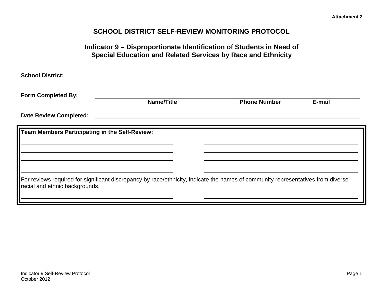# **SCHOOL DISTRICT SELF-REVIEW MONITORING PROTOCOL**

| <b>School District:</b>                        |            |                     |        |
|------------------------------------------------|------------|---------------------|--------|
| <b>Form Completed By:</b>                      | Name/Title | <b>Phone Number</b> | E-mail |
| <b>Date Review Completed:</b>                  |            |                     |        |
| Team Members Participating in the Self-Review: |            |                     |        |
|                                                |            |                     |        |
|                                                |            |                     |        |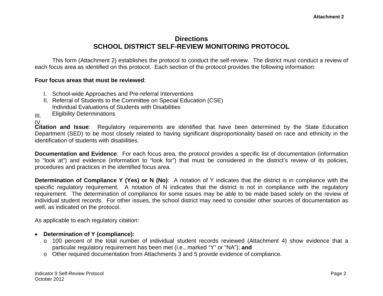# **Directions SCHOOL DISTRICT SELF-REVIEW MONITORING PROTOCOL**

This form (Attachment 2) establishes the protocol to conduct the self-review. The district must conduct a review of each focus area as identified on this protocol. Each section of the protocol provides the following information:

#### **Four focus areas that must be reviewed**:

- I. School-wide Approaches and Pre-referral Interventions
- II. Referral of Students to the Committee on Special Education (CSE) Individual Evaluations of Students with Disabilities
- Eligibility Determinations

III. IV.

 **Citation and Issue**: Regulatory requirements are identified that have been determined by the State Education Department (SED) to be most closely related to having significant disproportionality based on race and ethnicity in the identification of students with disabilities.

**Documentation and Evidence**: For each focus area, the protocol provides a specific list of documentation (information to "look at") and evidence (information to "look for") that must be considered in the district's review of its policies, procedures and practices in the identified focus area.

**Determination of Compliance Y (Yes) or N (No)**: A notation of Y indicates that the district is in compliance with the specific regulatory requirement. A notation of N indicates that the district is not in compliance with the regulatory requirement. The determination of compliance for some issues may be able to be made based solely on the review of individual student records. For other issues, the school district may need to consider other sources of documentation as well, as indicated on the protocol.

As applicable to each regulatory citation:

- **Determination of Y (compliance):** 
	- o 100 percent of the total number of individual student records reviewed (Attachment 4) show evidence that a particular regulatory requirement has been met (i.e., marked "Y" or "NA"); **and**
	- <sup>o</sup> Other required documentation from Attachments 3 and 5 provide evidence of compliance.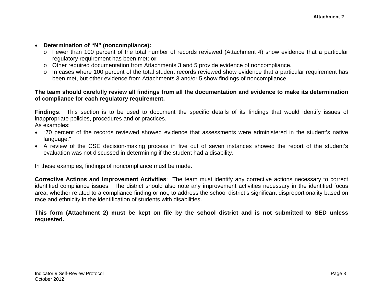#### • **Determination of "N" (noncompliance):**

- o Fewer than 100 percent of the total number of records reviewed (Attachment 4) show evidence that a particular regulatory requirement has been met; **or**
- o Other required documentation from Attachments 3 and 5 provide evidence of noncompliance.
- o In cases where 100 percent of the total student records reviewed show evidence that a particular requirement has been met, but other evidence from Attachments 3 and/or 5 show findings of noncompliance.

#### **The team should carefully review all findings from all the documentation and evidence to make its determination of compliance for each regulatory requirement.**

**Findings**: This section is to be used to document the specific details of its findings that would identify issues of inappropriate policies, procedures and or practices.

As examples:

- "70 percent of the records reviewed showed evidence that assessments were administered in the student's native language."
- A review of the CSE decision-making process in five out of seven instances showed the report of the student's evaluation was not discussed in determining if the student had a disability.

In these examples, findings of noncompliance must be made.

**Corrective Actions and Improvement Activities**: The team must identify any corrective actions necessary to correct identified compliance issues. The district should also note any improvement activities necessary in the identified focus area, whether related to a compliance finding or not, to address the school district's significant disproportionality based on race and ethnicity in the identification of students with disabilities.

**This form (Attachment 2) must be kept on file by the school district and is not submitted to SED unless requested.**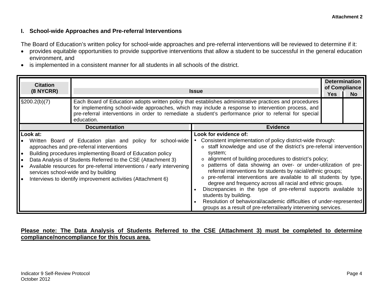#### **I. School-wide Approaches and Pre-referral Interventions**

The Board of Education's written policy for school-wide approaches and pre-referral interventions will be reviewed to determine if it:

- provides equitable opportunities to provide supportive interventions that allow a student to be successful in the general education environment, and
- is implemented in a consistent manner for all students in all schools of the district.

| <b>Citation</b><br>$(8$ NYCRR) | <b>Determination</b><br>of Compliance<br><b>Issue</b>                                                                                                                                                                                                                                                                                                                                                                   |                                                                                                                                                                                                                                                                                                                                                                                                                                                                                                                                                                                                                                                                                                                                          |  |  |  |  |  |  |  |
|--------------------------------|-------------------------------------------------------------------------------------------------------------------------------------------------------------------------------------------------------------------------------------------------------------------------------------------------------------------------------------------------------------------------------------------------------------------------|------------------------------------------------------------------------------------------------------------------------------------------------------------------------------------------------------------------------------------------------------------------------------------------------------------------------------------------------------------------------------------------------------------------------------------------------------------------------------------------------------------------------------------------------------------------------------------------------------------------------------------------------------------------------------------------------------------------------------------------|--|--|--|--|--|--|--|
| $\S200.2(b)(7)$                | Each Board of Education adopts written policy that establishes administrative practices and procedures<br>for implementing school-wide approaches, which may include a response to intervention process, and<br>pre-referral interventions in order to remediate a student's performance prior to referral for special<br>education.                                                                                    |                                                                                                                                                                                                                                                                                                                                                                                                                                                                                                                                                                                                                                                                                                                                          |  |  |  |  |  |  |  |
|                                | <b>Documentation</b>                                                                                                                                                                                                                                                                                                                                                                                                    | <b>Evidence</b>                                                                                                                                                                                                                                                                                                                                                                                                                                                                                                                                                                                                                                                                                                                          |  |  |  |  |  |  |  |
| Look at:                       | Written Board of Education plan and policy for school-wide<br>approaches and pre-referral interventions<br>Building procedures implementing Board of Education policy<br>Data Analysis of Students Referred to the CSE (Attachment 3)<br>Available resources for pre-referral interventions / early intervening<br>services school-wide and by building<br>Interviews to identify improvement activities (Attachment 6) | Look for evidence of:<br>Consistent implementation of policy district-wide through:<br>staff knowledge and use of the district's pre-referral intervention<br>system;<br>alignment of building procedures to district's policy;<br>patterns of data showing an over- or under-utilization of pre-<br>referral interventions for students by racial/ethnic groups;<br>pre-referral interventions are available to all students by type,<br>degree and frequency across all racial and ethnic groups.<br>Discrepancies in the type of pre-referral supports available to<br>students by building.<br>Resolution of behavioral/academic difficulties of under-represented<br>groups as a result of pre-referral/early intervening services. |  |  |  |  |  |  |  |

#### **Please note: The Data Analysis of Students Referred to the CSE (Attachment 3) must be completed to determine compliance/noncompliance for this focus area.**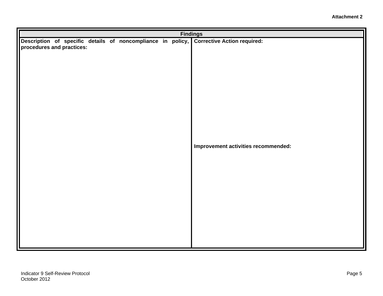|                           |  |  |  | <b>Findings</b> |                                                                                         |
|---------------------------|--|--|--|-----------------|-----------------------------------------------------------------------------------------|
| procedures and practices: |  |  |  |                 | Description of specific details of noncompliance in policy, Corrective Action required: |
|                           |  |  |  |                 | Improvement activities recommended:                                                     |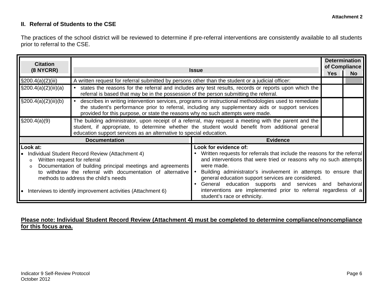#### **II. Referral of Students to the CSE**

The practices of the school district will be reviewed to determine if pre-referral interventions are consistently available to all students prior to referral to the CSE.

| <b>Citation</b><br>(8 NYCRR)                                                                                                                                                                                                                                                                      | <b>Determination</b><br>of Compliance<br><b>Issue</b>                                                                                                                                                                                                                                         |                                                                                                                                                                                                                                                                                      |     |             |  |  |  |  |
|---------------------------------------------------------------------------------------------------------------------------------------------------------------------------------------------------------------------------------------------------------------------------------------------------|-----------------------------------------------------------------------------------------------------------------------------------------------------------------------------------------------------------------------------------------------------------------------------------------------|--------------------------------------------------------------------------------------------------------------------------------------------------------------------------------------------------------------------------------------------------------------------------------------|-----|-------------|--|--|--|--|
|                                                                                                                                                                                                                                                                                                   |                                                                                                                                                                                                                                                                                               |                                                                                                                                                                                                                                                                                      | Yes | No.         |  |  |  |  |
| $\S200.4(a)(2)(iii)$                                                                                                                                                                                                                                                                              | A written request for referral submitted by persons other than the student or a judicial officer:                                                                                                                                                                                             |                                                                                                                                                                                                                                                                                      |     |             |  |  |  |  |
| $\S200.4(a)(2)(iii)(a)$                                                                                                                                                                                                                                                                           |                                                                                                                                                                                                                                                                                               | states the reasons for the referral and includes any test results, records or reports upon which the<br>referral is based that may be in the possession of the person submitting the referral.                                                                                       |     |             |  |  |  |  |
| $\S200.4(a)(2)(iii)(b)$                                                                                                                                                                                                                                                                           | describes in writing intervention services, programs or instructional methodologies used to remediate<br>the student's performance prior to referral, including any supplementary aids or support services<br>provided for this purpose, or state the reasons why no such attempts were made. |                                                                                                                                                                                                                                                                                      |     |             |  |  |  |  |
| $\S200.4(a)(9)$<br>The building administrator, upon receipt of a referral, may request a meeting with the parent and the<br>student, if appropriate, to determine whether the student would benefit from additional general<br>education support services as an alternative to special education. |                                                                                                                                                                                                                                                                                               |                                                                                                                                                                                                                                                                                      |     |             |  |  |  |  |
|                                                                                                                                                                                                                                                                                                   | <b>Documentation</b>                                                                                                                                                                                                                                                                          | <b>Evidence</b>                                                                                                                                                                                                                                                                      |     |             |  |  |  |  |
| Look at:                                                                                                                                                                                                                                                                                          |                                                                                                                                                                                                                                                                                               | Look for evidence of:                                                                                                                                                                                                                                                                |     |             |  |  |  |  |
| Written request for referral<br>$\circ$<br>$\circ$                                                                                                                                                                                                                                                | Individual Student Record Review (Attachment 4)<br>Documentation of building principal meetings and agreements<br>to withdraw the referral with documentation of alternative                                                                                                                  | Written requests for referrals that include the reasons for the referral<br>and interventions that were tried or reasons why no such attempts<br>were made.<br>Building administrator's involvement in attempts to ensure that<br>general education support services are considered. |     |             |  |  |  |  |
|                                                                                                                                                                                                                                                                                                   | methods to address the child's needs<br>• Interviews to identify improvement activities (Attachment 6)                                                                                                                                                                                        | General education supports and services and<br>interventions are implemented prior to referral regardless of a<br>student's race or ethnicity.                                                                                                                                       |     | behaviorall |  |  |  |  |

#### **Please note: Individual Student Record Review (Attachment 4) must be completed to determine compliance/noncompliance for this focus area.**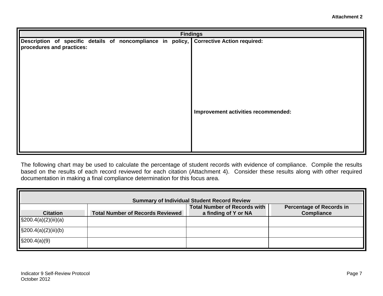|                           |  |  |  | <b>Findings</b>                                                                         |
|---------------------------|--|--|--|-----------------------------------------------------------------------------------------|
| procedures and practices: |  |  |  | Description of specific details of noncompliance in policy, Corrective Action required: |
|                           |  |  |  | Improvement activities recommended:                                                     |

The following chart may be used to calculate the percentage of student records with evidence of compliance. Compile the results based on the results of each record reviewed for each citation (Attachment 4). Consider these results along with other required documentation in making a final compliance determination for this focus area.

| <b>Summary of Individual Student Record Review</b> |                                         |                                                             |                                                      |  |  |  |  |
|----------------------------------------------------|-----------------------------------------|-------------------------------------------------------------|------------------------------------------------------|--|--|--|--|
| <b>Citation</b>                                    | <b>Total Number of Records Reviewed</b> | <b>Total Number of Records with</b><br>a finding of Y or NA | <b>Percentage of Records in</b><br><b>Compliance</b> |  |  |  |  |
| $\frac{1}{2}$ (3200.4(a)(2)(iii)(a)                |                                         |                                                             |                                                      |  |  |  |  |
| $\S200.4(a)(2)(iii)(b)$                            |                                         |                                                             |                                                      |  |  |  |  |
| $\S200.4(a)(9)$                                    |                                         |                                                             |                                                      |  |  |  |  |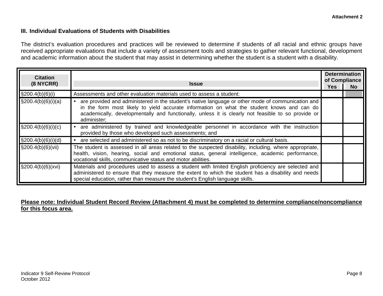#### **III. Individual Evaluations of Students with Disabilities**

The district's evaluation procedures and practices will be reviewed to determine if students of all racial and ethnic groups have received appropriate evaluations that include a variety of assessment tools and strategies to gather relevant functional, development and academic information about the student that may assist in determining whether the student is a student with a disability.

| <b>Citation</b>                   | <b>Issue</b>                                                                                                                                                                                                                                                                                                         |  |  |  |  |
|-----------------------------------|----------------------------------------------------------------------------------------------------------------------------------------------------------------------------------------------------------------------------------------------------------------------------------------------------------------------|--|--|--|--|
| $(8$ NYCRR)                       |                                                                                                                                                                                                                                                                                                                      |  |  |  |  |
| \$200.4(b)(6)(i)                  | Assessments and other evaluation materials used to assess a student:                                                                                                                                                                                                                                                 |  |  |  |  |
| $\sqrt{\frac{200.4(b)(6)(i)}{a}}$ | are provided and administered in the student's native language or other mode of communication and<br>in the form most likely to yield accurate information on what the student knows and can do<br>academically, developmentally and functionally, unless it is clearly not feasible to so provide or<br>administer; |  |  |  |  |
| $\sqrt{\frac{200.4(b)(6)(i)(c)}}$ | are administered by trained and knowledgeable personnel in accordance with the instruction<br>provided by those who developed such assessments; and                                                                                                                                                                  |  |  |  |  |
| $\frac{1}{2}$ 9200.4(b)(6)(i)(d)  | are selected and administered so as not to be discriminatory on a racial or cultural basis.                                                                                                                                                                                                                          |  |  |  |  |
| $\sqrt{\frac{200.4(b)}{6}}$ (vii) | The student is assessed in all areas related to the suspected disability, including, where appropriate,<br>health, vision, hearing, social and emotional status, general intelligence, academic performance,<br>vocational skills, communicative status and motor abilities.                                         |  |  |  |  |
| $\frac{1}{2}$ \$200.4(b)(6)(xvi)  | Materials and procedures used to assess a student with limited English proficiency are selected and<br>administered to ensure that they measure the extent to which the student has a disability and needs<br>special education, rather than measure the student's English language skills.                          |  |  |  |  |

#### **Please note: Individual Student Record Review (Attachment 4) must be completed to determine compliance/noncompliance for this focus area.**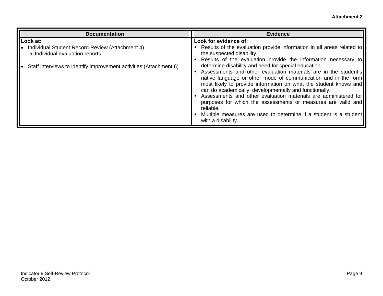| <b>Documentation</b>                                                                                                                                                       | <b>Evidence</b>                                                                                                                                                                                                                                                                                                                                                                                                                                                                                                                                                                                                                                                                                                                                                       |
|----------------------------------------------------------------------------------------------------------------------------------------------------------------------------|-----------------------------------------------------------------------------------------------------------------------------------------------------------------------------------------------------------------------------------------------------------------------------------------------------------------------------------------------------------------------------------------------------------------------------------------------------------------------------------------------------------------------------------------------------------------------------------------------------------------------------------------------------------------------------------------------------------------------------------------------------------------------|
| Look at:<br>Individual Student Record Review (Attachment 4)<br>$\circ$ Individual evaluation reports<br>Staff interviews to identify improvement activities (Attachment 6) | Look for evidence of:<br>Results of the evaluation provide information in all areas related to<br>the suspected disability.<br>Results of the evaluation provide the information necessary to<br>determine disability and need for special education.<br>Assessments and other evaluation materials are in the student's<br>native language or other mode of communication and in the form<br>most likely to provide information on what the student knows and<br>can do academically, developmentally and functionally.<br>• Assessments and other evaluation materials are administered for<br>purposes for which the assessments or measures are valid and<br>reliable.<br>Multiple measures are used to determine if a student is a student<br>with a disability. |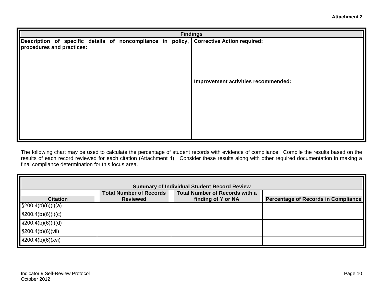|                           | <b>Findings</b> |  |  |  |  |  |  |                                                                                         |  |  |
|---------------------------|-----------------|--|--|--|--|--|--|-----------------------------------------------------------------------------------------|--|--|
|                           |                 |  |  |  |  |  |  | Description of specific details of noncompliance in policy, Corrective Action required: |  |  |
| procedures and practices: |                 |  |  |  |  |  |  |                                                                                         |  |  |
|                           |                 |  |  |  |  |  |  |                                                                                         |  |  |
|                           |                 |  |  |  |  |  |  |                                                                                         |  |  |
|                           |                 |  |  |  |  |  |  |                                                                                         |  |  |
|                           |                 |  |  |  |  |  |  | Improvement activities recommended:                                                     |  |  |
|                           |                 |  |  |  |  |  |  |                                                                                         |  |  |
|                           |                 |  |  |  |  |  |  |                                                                                         |  |  |
|                           |                 |  |  |  |  |  |  |                                                                                         |  |  |
|                           |                 |  |  |  |  |  |  |                                                                                         |  |  |
|                           |                 |  |  |  |  |  |  |                                                                                         |  |  |
|                           |                 |  |  |  |  |  |  |                                                                                         |  |  |
|                           |                 |  |  |  |  |  |  |                                                                                         |  |  |

The following chart may be used to calculate the percentage of student records with evidence of compliance. Compile the results based on the results of each record reviewed for each citation (Attachment 4). Consider these results along with other required documentation in making a final compliance determination for this focus area.

| <b>Summary of Individual Student Record Review</b> |                                |                                       |                                            |  |  |  |  |  |
|----------------------------------------------------|--------------------------------|---------------------------------------|--------------------------------------------|--|--|--|--|--|
|                                                    | <b>Total Number of Records</b> | <b>Total Number of Records with a</b> |                                            |  |  |  |  |  |
| <b>Citation</b>                                    | <b>Reviewed</b>                | finding of Y or NA                    | <b>Percentage of Records in Compliance</b> |  |  |  |  |  |
| $\text{\$}200.4(b)(6)(i)(a)$                       |                                |                                       |                                            |  |  |  |  |  |
| $\S200.4(b)(6)(i)(c)$                              |                                |                                       |                                            |  |  |  |  |  |
| $\S200.4(b)(6)(i)(d)$                              |                                |                                       |                                            |  |  |  |  |  |
| $\S200.4(b)(6)(vii)$                               |                                |                                       |                                            |  |  |  |  |  |
| $\S 200.4(b)(6)(xvi)$                              |                                |                                       |                                            |  |  |  |  |  |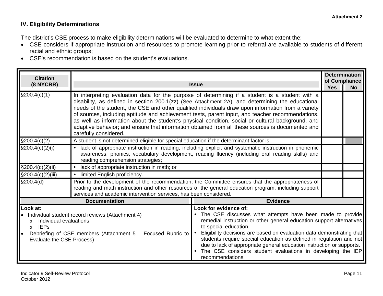#### **IV. Eligibility Determinations**

The district's CSE process to make eligibility determinations will be evaluated to determine to what extent the:

- CSE considers if appropriate instruction and resources to promote learning prior to referral are available to students of different racial and ethnic groups;
- CSE's recommendation is based on the student's evaluations.

| <b>Citation</b>                                                                                                                                                                                                                     |                                                                                                                                                                                                                                                                                                                                                                                                                                                                                                                                                                                                                                                 |                                                                                                                                                                                                                                                                                                                                                                                                                                                                                                 |            |                            |  |  |  |
|-------------------------------------------------------------------------------------------------------------------------------------------------------------------------------------------------------------------------------------|-------------------------------------------------------------------------------------------------------------------------------------------------------------------------------------------------------------------------------------------------------------------------------------------------------------------------------------------------------------------------------------------------------------------------------------------------------------------------------------------------------------------------------------------------------------------------------------------------------------------------------------------------|-------------------------------------------------------------------------------------------------------------------------------------------------------------------------------------------------------------------------------------------------------------------------------------------------------------------------------------------------------------------------------------------------------------------------------------------------------------------------------------------------|------------|----------------------------|--|--|--|
| (8 NYCRR)                                                                                                                                                                                                                           |                                                                                                                                                                                                                                                                                                                                                                                                                                                                                                                                                                                                                                                 | <b>Issue</b>                                                                                                                                                                                                                                                                                                                                                                                                                                                                                    | <b>Yes</b> | of Compliance<br><b>No</b> |  |  |  |
| $\S200.4(c)(1)$                                                                                                                                                                                                                     | In interpreting evaluation data for the purpose of determining if a student is a student with a<br>disability, as defined in section 200.1(zz) (See Attachment 2A), and determining the educational<br>needs of the student, the CSE and other qualified individuals draw upon information from a variety<br>of sources, including aptitude and achievement tests, parent input, and teacher recommendations,<br>as well as information about the student's physical condition, social or cultural background, and<br>adaptive behavior; and ensure that information obtained from all these sources is documented and<br>carefully considered. |                                                                                                                                                                                                                                                                                                                                                                                                                                                                                                 |            |                            |  |  |  |
| $\S200.4(c)(2)$                                                                                                                                                                                                                     | A student is not determined eligible for special education if the determinant factor is:                                                                                                                                                                                                                                                                                                                                                                                                                                                                                                                                                        |                                                                                                                                                                                                                                                                                                                                                                                                                                                                                                 |            |                            |  |  |  |
| $\$200.4(c)(2)(i)$                                                                                                                                                                                                                  | lack of appropriate instruction in reading, including explicit and systematic instruction in phonemic<br>awareness, phonics, vocabulary development, reading fluency (including oral reading skills) and<br>reading comprehension strategies;                                                                                                                                                                                                                                                                                                                                                                                                   |                                                                                                                                                                                                                                                                                                                                                                                                                                                                                                 |            |                            |  |  |  |
| $\S200.4(c)(2)(ii)$                                                                                                                                                                                                                 | lack of appropriate instruction in math; or                                                                                                                                                                                                                                                                                                                                                                                                                                                                                                                                                                                                     |                                                                                                                                                                                                                                                                                                                                                                                                                                                                                                 |            |                            |  |  |  |
| $\S200.4(c)(2)(iii)$                                                                                                                                                                                                                | limited English proficiency.                                                                                                                                                                                                                                                                                                                                                                                                                                                                                                                                                                                                                    |                                                                                                                                                                                                                                                                                                                                                                                                                                                                                                 |            |                            |  |  |  |
| \$200.4(d)                                                                                                                                                                                                                          | services and academic intervention services, has been considered.                                                                                                                                                                                                                                                                                                                                                                                                                                                                                                                                                                               | Prior to the development of the recommendation, the Committee ensures that the appropriateness of<br>reading and math instruction and other resources of the general education program, including support                                                                                                                                                                                                                                                                                       |            |                            |  |  |  |
|                                                                                                                                                                                                                                     | <b>Documentation</b>                                                                                                                                                                                                                                                                                                                                                                                                                                                                                                                                                                                                                            | <b>Evidence</b>                                                                                                                                                                                                                                                                                                                                                                                                                                                                                 |            |                            |  |  |  |
| Look at:<br>Individual student record reviews (Attachment 4)<br>Individual evaluations<br>$\Omega$<br>$\  .$<br><b>IEPs</b><br>$\Omega$<br>Debriefing of CSE members (Attachment 5 - Focused Rubric to<br>Evaluate the CSE Process) |                                                                                                                                                                                                                                                                                                                                                                                                                                                                                                                                                                                                                                                 | Look for evidence of:<br>The CSE discusses what attempts have been made to provide<br>remedial instruction or other general education support alternatives<br>to special education.<br>Eligibility decisions are based on evaluation data demonstrating that<br>students require special education as defined in regulation and not<br>due to lack of appropriate general education instruction or supports.<br>The CSE considers student evaluations in developing the IEP<br>recommendations. |            |                            |  |  |  |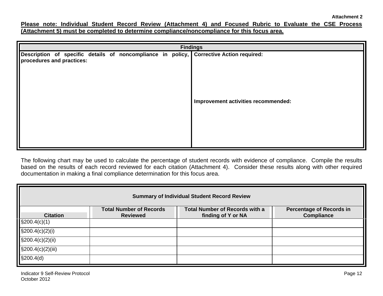**Please note: Individual Student Record Review (Attachment 4) and Focused Rubric to Evaluate the CSE Process (Attachment 5) must be completed to determine compliance/noncompliance for this focus area.** 

| <b>Findings</b>           |  |  |  |  |                                                                                         |  |  |  |
|---------------------------|--|--|--|--|-----------------------------------------------------------------------------------------|--|--|--|
| procedures and practices: |  |  |  |  | Description of specific details of noncompliance in policy, Corrective Action required: |  |  |  |
|                           |  |  |  |  | Improvement activities recommended:                                                     |  |  |  |

The following chart may be used to calculate the percentage of student records with evidence of compliance. Compile the results based on the results of each record reviewed for each citation (Attachment 4). Consider these results along with other required documentation in making a final compliance determination for this focus area.

| <b>Summary of Individual Student Record Review</b>                                                                                                                                          |  |  |  |  |  |  |  |  |
|---------------------------------------------------------------------------------------------------------------------------------------------------------------------------------------------|--|--|--|--|--|--|--|--|
| <b>Total Number of Records with a</b><br><b>Total Number of Records</b><br><b>Percentage of Records in</b><br><b>Compliance</b><br><b>Citation</b><br>finding of Y or NA<br><b>Reviewed</b> |  |  |  |  |  |  |  |  |
| $\frac{200.4(c)}{1}$                                                                                                                                                                        |  |  |  |  |  |  |  |  |
| $\text{\$}200.4(c)(2)(i)$                                                                                                                                                                   |  |  |  |  |  |  |  |  |
| $\S200.4(c)(2)(ii)$                                                                                                                                                                         |  |  |  |  |  |  |  |  |
| $\S200.4(c)(2)(iii)$                                                                                                                                                                        |  |  |  |  |  |  |  |  |
| \$200.4(d)                                                                                                                                                                                  |  |  |  |  |  |  |  |  |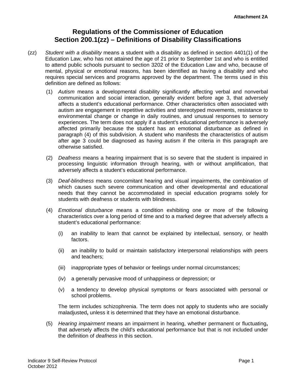# **Regulations of the Commissioner of Education Section 200.1(zz) – Definitions of Disability Classifications**

- (zz) *Student with a disability* means a student with a disability as defined in section 4401(1) of the Education Law, who has not attained the age of 21 prior to September 1st and who is entitled to attend public schools pursuant to section 3202 of the Education Law and who, because of mental, physical or emotional reasons, has been identified as having a disability and who requires special services and programs approved by the department. The terms used in this definition are defined as follows:
	- (1) *Autism* means a developmental disability significantly affecting verbal and nonverbal communication and social interaction, generally evident before age 3, that adversely affects a student's educational performance. Other characteristics often associated with autism are engagement in repetitive activities and stereotyped movements, resistance to environmental change or change in daily routines, and unusual responses to sensory experiences. The term does not apply if a student's educational performance is adversely affected primarily because the student has an emotional disturbance as defined in paragraph (4) of this subdivision. A student who manifests the characteristics of autism after age 3 could be diagnosed as having autism if the criteria in this paragraph are otherwise satisfied.
	- (2) *Deafness* means a hearing impairment that is so severe that the student is impaired in processing linguistic information through hearing, with or without amplification, that adversely affects a student's educational performance.
	- (3) *Deaf-blindness* means concomitant hearing and visual impairments, the combination of which causes such severe communication and other developmental and educational needs that they cannot be accommodated in special education programs solely for students with deafness or students with blindness.
	- (4) *Emotional disturbance* means a condition exhibiting one or more of the following characteristics over a long period of time and to a marked degree that adversely affects a student's educational performance:
		- (i) an inability to learn that cannot be explained by intellectual, sensory, or health factors.
		- (ii) an inability to build or maintain satisfactory interpersonal relationships with peers and teachers;
		- (iii) inappropriate types of behavior or feelings under normal circumstances;
		- (iv) a generally pervasive mood of unhappiness or depression; or
		- $(v)$  a tendency to develop physical symptoms or fears associated with personal or school problems.

The term includes schizophrenia. The term does not apply to students who are socially maladjusted**,** unless it is determined that they have an emotional disturbance.

(5) *Hearing impairment* means an impairment in hearing, whether permanent or fluctuating**,**  that adversely affects the child's educational performance but that is not included under the definition of *deafness* in this section.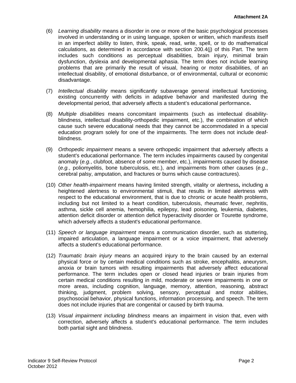- (6) *Learning disability* means a disorder in one or more of the basic psychological processes involved in understanding or in using language, spoken or written, which manifests itself in an imperfect ability to listen, think, speak, read, write, spell, or to do mathematical calculations, as determined in accordance with section 200.4(j) of this Part. The term includes such conditions as perceptual disabilities, brain injury, minimal brain dysfunction, dyslexia and developmental aphasia. The term does not include learning problems that are primarily the result of visual, hearing or motor disabilities, of an intellectual disability, of emotional disturbance, or of environmental, cultural or economic disadvantage.
- (7) *Intellectual disability* means significantly subaverage general intellectual functioning, existing concurrently with deficits in adaptive behavior and manifested during the developmental period, that adversely affects a student's educational performance**.**
- blindness. (8) *Multiple disabilities* means concomitant impairments (such as intellectual disabilityblindness, intellectual disability-orthopedic impairment, etc.), the combination of which cause such severe educational needs that they cannot be accommodated in a special education program solely for one of the impairments. The term does not include deaf-
- (9) *Orthopedic impairment* means a severe orthopedic impairment that adversely affects a student's educational performance. The term includes impairments caused by congenital anomaly (*e.g.*, clubfoot, absence of some member, etc.), impairments caused by disease (*e.g.*, poliomyelitis, bone tuberculosis, etc.), and impairments from other causes (*e.g.*, cerebral palsy, amputation, and fractures or burns which cause contractures).
- (10) *Other health-impairment* means having limited strength, vitality or alertness**,** including a heightened alertness to environmental stimuli, that results in limited alertness with respect to the educational environment, that is due to chronic or acute health problems, including but not limited to a heart condition, tuberculosis, rheumatic fever, nephritis, asthma, sickle cell anemia, hemophilia, epilepsy, lead poisoning, leukemia, diabetes, attention deficit disorder or attention deficit hyperactivity disorder or Tourette syndrome, which adversely affects a student's educational performance.
- (11) *Speech or language impairment* means a communication disorder, such as stuttering, impaired articulation, a language impairment or a voice impairment, that adversely affects a student's educational performance.
- (12) *Traumatic brain injury* means an acquired injury to the brain caused by an external physical force or by certain medical conditions such as stroke, encephalitis, aneurysm, anoxia or brain tumors with resulting impairments that adversely affect educational performance. The term includes open or closed head injuries or brain injuries from certain medical conditions resulting in mild, moderate or severe impairments in one or more areas, including cognition, language, memory, attention, reasoning, abstract thinking, judgment, problem solving, sensory, perceptual and motor abilities, psychosocial behavior, physical functions, information processing, and speech. The term does not include injuries that are congenital or caused by birth trauma.
- (13) *Visual impairment including blindness* means an impairment in vision that, even with correction, adversely affects a student's educational performance. The term includes both partial sight and blindness.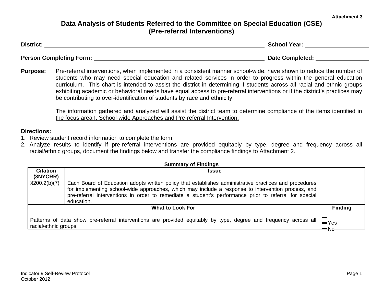#### **Attachment 3**

# **Data Analysis of Students Referred to the Committee on Special Education (CSE) (Pre-referral Interventions)**

| <b>District:</b>               | <b>School Year:</b>    |
|--------------------------------|------------------------|
|                                |                        |
| <b>Person Completing Form:</b> | <b>Date Completed:</b> |

**Purpose:** Pre-referral interventions, when implemented in a consistent manner school-wide, have shown to reduce the number of students who may need special education and related services in order to progress within the general education curriculum. This chart is intended to assist the district in determining if students across all racial and ethnic groups exhibiting academic or behavioral needs have equal access to pre-referral interventions or if the district's practices may be contributing to over-identification of students by race and ethnicity.

The information gathered and analyzed will assist the district team to determine compliance of the items identified in the focus area I. School-wide Approaches and Pre-referral Intervention.

#### **Directions:**

- 1. Review student record information to complete the form.
- 2. Analyze results to identify if pre-referral interventions are provided equitably by type, degree and frequency across all racial/ethnic groups, document the findings below and transfer the compliance findings to Attachment 2.

| <b>Summary of Findings</b>  |                                                                                                                                                                                                                                                                                                                                      |  |  |  |  |  |
|-----------------------------|--------------------------------------------------------------------------------------------------------------------------------------------------------------------------------------------------------------------------------------------------------------------------------------------------------------------------------------|--|--|--|--|--|
| <b>Citation</b><br>(8NYCRR) | <b>Issue</b>                                                                                                                                                                                                                                                                                                                         |  |  |  |  |  |
| $\S200.2(b)(7)$             | Each Board of Education adopts written policy that establishes administrative practices and procedures<br>for implementing school-wide approaches, which may include a response to intervention process, and<br>pre-referral interventions in order to remediate a student's performance prior to referral for special<br>education. |  |  |  |  |  |
|                             | <b>Finding</b><br><b>What to Look For</b>                                                                                                                                                                                                                                                                                            |  |  |  |  |  |
|                             | Patterns of data show pre-referral interventions are provided equitably by type, degree and frequency across all<br>'Yes<br>racial/ethnic groups.<br>$\overline{4}$ No                                                                                                                                                               |  |  |  |  |  |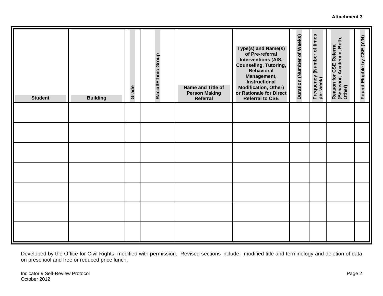#### **Attachment 3**

| <b>Student</b> | <b>Building</b> | Grade | Racial/Ethnic Group | Name and Title of<br><b>Person Making</b><br>Referral | Type(s) and Name(s)<br>of Pre-referral<br><b>Interventions (AIS,</b><br><b>Counseling, Tutoring,</b><br><b>Behavioral</b><br>Management,<br>Instructional<br><b>Modification, Other)</b><br>or Rationale for Direct<br><b>Referral to CSE</b> | Duration (Number of Weeks) | Frequency (Number of times<br>per week) | Academic, Both,<br>Reason for CSE Referral<br>(Behavior, Academic, Botl<br>Other) | Found Eligible by CSE (Y/N) |
|----------------|-----------------|-------|---------------------|-------------------------------------------------------|-----------------------------------------------------------------------------------------------------------------------------------------------------------------------------------------------------------------------------------------------|----------------------------|-----------------------------------------|-----------------------------------------------------------------------------------|-----------------------------|
|                |                 |       |                     |                                                       |                                                                                                                                                                                                                                               |                            |                                         |                                                                                   |                             |
|                |                 |       |                     |                                                       |                                                                                                                                                                                                                                               |                            |                                         |                                                                                   |                             |
|                |                 |       |                     |                                                       |                                                                                                                                                                                                                                               |                            |                                         |                                                                                   |                             |
|                |                 |       |                     |                                                       |                                                                                                                                                                                                                                               |                            |                                         |                                                                                   |                             |
|                |                 |       |                     |                                                       |                                                                                                                                                                                                                                               |                            |                                         |                                                                                   |                             |
|                |                 |       |                     |                                                       |                                                                                                                                                                                                                                               |                            |                                         |                                                                                   |                             |
|                |                 |       |                     |                                                       |                                                                                                                                                                                                                                               |                            |                                         |                                                                                   |                             |

Developed by the Office for Civil Rights, modified with permission. Revised sections include: modified title and terminology and deletion of data on preschool and free or reduced price lunch.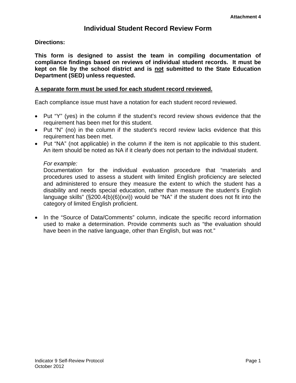# **Individual Student Record Review Form**

#### **Directions:**

**This form is designed to assist the team in compiling documentation of compliance findings based on reviews of individual student records. It must be kept on file by the school district and is not submitted to the State Education Department (SED) unless requested.** 

#### **A separate form must be used for each student record reviewed.**

Each compliance issue must have a notation for each student record reviewed.

- Put "Y" (yes) in the column if the student's record review shows evidence that the requirement has been met for this student.
- Put "N" (no) in the column if the student's record review lacks evidence that this requirement has been met.
- Put "NA" (not applicable) in the column if the item is not applicable to this student. An item should be noted as NA if it clearly does not pertain to the individual student.

#### *For example:*

Documentation for the individual evaluation procedure that "materials and procedures used to assess a student with limited English proficiency are selected and administered to ensure they measure the extent to which the student has a disability and needs special education, rather than measure the student's English language skills" (§200.4(b)(6)(xvi)) would be "NA" if the student does not fit into the category of limited English proficient.

• In the "Source of Data/Comments" column, indicate the specific record information used to make a determination. Provide comments such as "the evaluation should have been in the native language, other than English, but was not."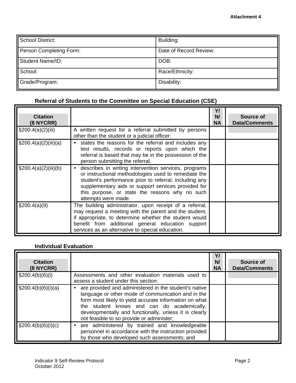| School District:        | Building:              |
|-------------------------|------------------------|
| Person Completing Form: | Date of Record Review: |
| <b>Student Name/ID:</b> | DOB:                   |
| School:                 | Race/Ethnicity:        |
| Grade/Program:          | Disability:            |

#### **Referral of Students to the Committee on Special Education (CSE)**

| <b>Citation</b><br>(8 NYCRR) |                                                                                                                                                                                                                                                                                                        | Y/<br>N/<br><b>NA</b> | Source of<br><b>Data/Comments</b> |
|------------------------------|--------------------------------------------------------------------------------------------------------------------------------------------------------------------------------------------------------------------------------------------------------------------------------------------------------|-----------------------|-----------------------------------|
| $\S200.4(a)(2)(iii)$         | A written request for a referral submitted by persons<br>other than the student or a judicial officer:                                                                                                                                                                                                 |                       |                                   |
| \$200.4(a)(2)(iii)(a)        | states the reasons for the referral and includes any<br>test results, records or reports upon which the<br>referral is based that may be in the possession of the<br>person submitting the referral.                                                                                                   |                       |                                   |
| $\S200.4(a)(2)(iii)(b)$      | describes in writing intervention services, programs<br>or instructional methodologies used to remediate the<br>student's performance prior to referral, including any<br>supplementary aids or support services provided for<br>this purpose, or state the reasons why no such<br>attempts were made. |                       |                                   |
| \$200.4(a)(9)                | The building administrator, upon receipt of a referral,<br>may request a meeting with the parent and the student,<br>if appropriate, to determine whether the student would<br>benefit from additional general education support<br>services as an alternative to special education.                   |                       |                                   |

#### **Individual Evaluation**

| <b>Citation</b><br>$(8$ NYCRR) |                                                                                                                                                                                                                                                                                                                            | Y/<br>N/<br><b>NA</b> | Source of<br><b>Data/Comments</b> |
|--------------------------------|----------------------------------------------------------------------------------------------------------------------------------------------------------------------------------------------------------------------------------------------------------------------------------------------------------------------------|-----------------------|-----------------------------------|
| $\S200.4(b)(6)(i)$             | Assessments and other evaluation materials used to<br>assess a student under this section:                                                                                                                                                                                                                                 |                       |                                   |
| $\S200.4(b)(6)(i)(a)$          | are provided and administered in the student's native<br>language or other mode of communication and in the<br>form most likely to yield accurate information on what<br>the student knows and can do academically,<br>developmentally and functionally, unless it is clearly<br>not feasible to so provide or administer; |                       |                                   |
| $\S200.4(b)(6)(i)(c)$          | are administered by trained and knowledgeable<br>personnel in accordance with the instruction provided<br>by those who developed such assessments; and                                                                                                                                                                     |                       |                                   |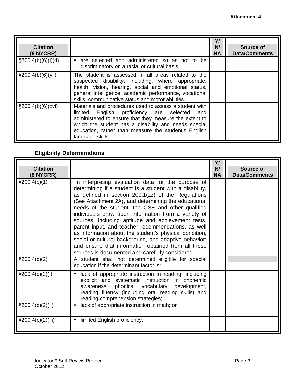| <b>Citation</b><br>(8 NYCRR) |                                                                                                                                                                                                                                                                                                            | Y<br>N/<br><b>NA</b> | Source of<br><b>Data/Comments</b> |
|------------------------------|------------------------------------------------------------------------------------------------------------------------------------------------------------------------------------------------------------------------------------------------------------------------------------------------------------|----------------------|-----------------------------------|
| $\S200.4(b)(6)(i)(d)$        | are selected and administered so as not to be<br>discriminatory on a racial or cultural basis.                                                                                                                                                                                                             |                      |                                   |
| $\S 200.4(b)(6)(vii)$        | The student is assessed in all areas related to the<br>suspected disability, including, where appropriate,<br>health, vision, hearing, social and emotional status,<br>general intelligence, academic performance, vocational<br>skills, communicative status and motor abilities.                         |                      |                                   |
| $\S200.4(b)(6)(xvi)$         | Materials and procedures used to assess a student with<br>English proficiency are selected<br>limited<br>and<br>administered to ensure that they measure the extent to<br>which the student has a disability and needs special<br>education, rather than measure the student's English<br>language skills. |                      |                                   |

### **Eligibility Determinations**

| <b>Citation</b><br>(8 NYCRR) |                                                                                                                                                                                                                                                                                                                                                                                                                                                                                                                                                                                                                                                                                   | Y/<br>N/<br><b>NA</b> | Source of<br><b>Data/Comments</b> |
|------------------------------|-----------------------------------------------------------------------------------------------------------------------------------------------------------------------------------------------------------------------------------------------------------------------------------------------------------------------------------------------------------------------------------------------------------------------------------------------------------------------------------------------------------------------------------------------------------------------------------------------------------------------------------------------------------------------------------|-----------------------|-----------------------------------|
| \$200.4(c)(1)                | In interpreting evaluation data for the purpose of<br>determining if a student is a student with a disability,<br>as defined in section 200.1(zz) of the Regulations<br>(See Attachment 2A), and determining the educational<br>needs of the student, the CSE and other qualified<br>individuals draw upon information from a variety of<br>sources, including aptitude and achievement tests,<br>parent input, and teacher recommendations, as well<br>as information about the student's physical condition,<br>social or cultural background, and adaptive behavior;<br>and ensure that information obtained from all these<br>sources is documented and carefully considered. |                       |                                   |
| $\S 200.4(c)(2)$             | A student shall not determined eligible for special<br>education if the determinant factor is:                                                                                                                                                                                                                                                                                                                                                                                                                                                                                                                                                                                    |                       |                                   |
| $\S200.4(c)(2)(i)$           | lack of appropriate instruction in reading, including<br>explicit and systematic instruction in phonemic<br>awareness, phonics, vocabulary development,<br>reading fluency (including oral reading skills) and<br>reading comprehension strategies;                                                                                                                                                                                                                                                                                                                                                                                                                               |                       |                                   |
| $\S200.4(c)(2)(ii)$          | lack of appropriate instruction in math; or<br>$\bullet$                                                                                                                                                                                                                                                                                                                                                                                                                                                                                                                                                                                                                          |                       |                                   |
| $\S200.4(c)(2)(iii)$         | limited English proficiency.<br>$\bullet$                                                                                                                                                                                                                                                                                                                                                                                                                                                                                                                                                                                                                                         |                       |                                   |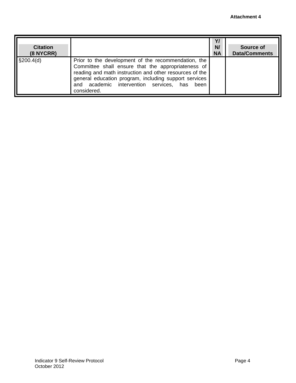| <b>Citation</b><br>(8 NYCRR) |                                                                                                                                                                                                                                                                                                 | Y/<br>N/<br><b>NA</b> | Source of<br><b>Data/Comments</b> |
|------------------------------|-------------------------------------------------------------------------------------------------------------------------------------------------------------------------------------------------------------------------------------------------------------------------------------------------|-----------------------|-----------------------------------|
| \$200.4(d)                   | Prior to the development of the recommendation, the<br>Committee shall ensure that the appropriateness of<br>reading and math instruction and other resources of the<br>general education program, including support services<br>and academic intervention services, has<br>been<br>considered. |                       |                                   |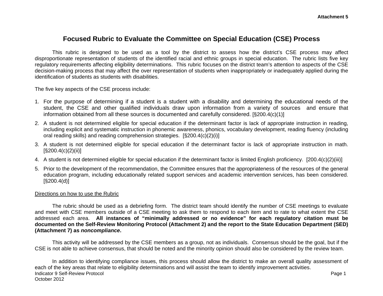### **Focused Rubric to Evaluate the Committee on Special Education (CSE) Process**

This rubric is designed to be used as a tool by the district to assess how the district's CSE process may affect disproportionate representation of students of the identified racial and ethnic groups in special education. The rubric lists five key regulatory requirements affecting eligibility determinations. This rubric focuses on the district team's attention to aspects of the CSE decision-making process that may affect the over representation of students when inappropriately or inadequately applied during the identification of students as students with disabilities.

The five key aspects of the CSE process include:

- 1. For the purpose of determining if a student is a student with a disability and determining the educational needs of the student, the CSE and other qualified individuals draw upon information from a variety of sources and ensure that information obtained from all these sources is documented and carefully considered. [§200.4(c)(1)]
- 2. A student is not determined eligible for special education if the determinant factor is lack of appropriate instruction in reading, including explicit and systematic instruction in phonemic awareness, phonics, vocabulary development, reading fluency (including oral reading skills) and reading comprehension strategies. [§200.4(c)(2)(i)]
- 3. A student is not determined eligible for special education if the determinant factor is lack of appropriate instruction in math.  $[\$200.4(c)(2)(ii)]$
- 4. A student is not determined eligible for special education if the determinant factor is limited English proficiency. [200.4(c)(2)(iii)]
- 5. Prior to the development of the recommendation, the Committee ensures that the appropriateness of the resources of the general education program, including educationally related support services and academic intervention services, has been considered. [§200.4(d)]

#### Directions on how to use the Rubric

The rubric should be used as a debriefing form. The district team should identify the number of CSE meetings to evaluate and meet with CSE members outside of a CSE meeting to ask them to respond to each item and to rate to what extent the CSE addressed each area. **All instances of "minimally addressed or no evidence" for each regulatory citation must be documented on the Self-Review Monitoring Protocol (Attachment 2) and the report to the State Education Department (SED) (Attachment 7) as** *noncompliance***.** 

This activity will be addressed by the CSE members as a group, not as individuals. Consensus should be the goal, but if the CSE is not able to achieve consensus, that should be noted and the minority opinion should also be considered by the review team.

In addition to identifying compliance issues, this process should allow the district to make an overall quality assessment of each of the key areas that relate to eligibility determinations and will assist the team to identify improvement activities. Indicator 9 Self-Review Protocol Page 1 October 2012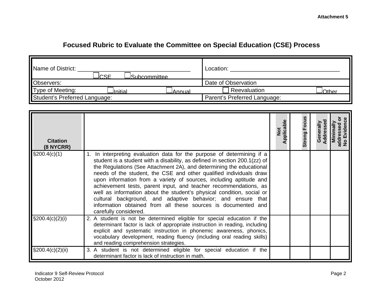# **Focused Rubric to Evaluate the Committee on Special Education (CSE) Process**

| Name of District:<br>C <sub>CC</sub><br><sup>J</sup> Subcommittee. | Location:                    |
|--------------------------------------------------------------------|------------------------------|
| Observers:                                                         | Date of Observation          |
| Type of Meeting:<br><u>lInitial</u><br>JAnnual                     | Reevaluation<br>JOther       |
| Student's Preferred Language:                                      | Parent's Preferred Language: |

| <b>Citation</b><br>(8 NYCRR) |                                                                                                                                                                                                                                                                                                                                                                                                                                                                                                                                                                                                                                                                                | $\frac{5}{2}$<br>pplica | Focus<br>Strong |  |
|------------------------------|--------------------------------------------------------------------------------------------------------------------------------------------------------------------------------------------------------------------------------------------------------------------------------------------------------------------------------------------------------------------------------------------------------------------------------------------------------------------------------------------------------------------------------------------------------------------------------------------------------------------------------------------------------------------------------|-------------------------|-----------------|--|
| \$200.4(c)(1)                | 1. In interpreting evaluation data for the purpose of determining if a<br>student is a student with a disability, as defined in section 200.1(zz) of<br>the Regulations (See Attachment 2A), and determining the educational<br>needs of the student, the CSE and other qualified individuals draw<br>upon information from a variety of sources, including aptitude and<br>achievement tests, parent input, and teacher recommendations, as<br>well as information about the student's physical condition, social or<br>cultural background, and adaptive behavior; and ensure that<br>information obtained from all these sources is documented and<br>carefully considered. |                         |                 |  |
| $\S200.4(c)(2)(i)$           | 2. A student is not be determined eligible for special education if the<br>determinant factor is lack of appropriate instruction in reading, including<br>explicit and systematic instruction in phonemic awareness, phonics,<br>vocabulary development, reading fluency (including oral reading skills)<br>and reading comprehension strategies.                                                                                                                                                                                                                                                                                                                              |                         |                 |  |
| $\S200.4(c)(2)(ii)$          | 3. A student is not determined eligible for special education if the<br>determinant factor is lack of instruction in math.                                                                                                                                                                                                                                                                                                                                                                                                                                                                                                                                                     |                         |                 |  |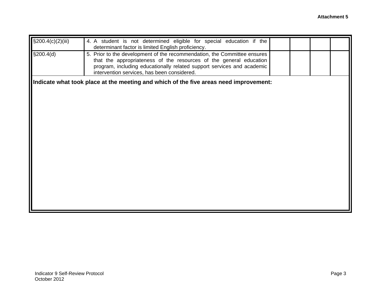| $\sqrt{\frac{200.4}{c}}$ (c)(2)(iii) | 4. A student is not determined eligible for special education if the<br>determinant factor is limited English proficiency.                                                                                                                                              |  |  |
|--------------------------------------|-------------------------------------------------------------------------------------------------------------------------------------------------------------------------------------------------------------------------------------------------------------------------|--|--|
| \$200.4(d)                           | 5. Prior to the development of the recommendation, the Committee ensures<br>that the appropriateness of the resources of the general education<br>program, including educationally related support services and academic<br>intervention services, has been considered. |  |  |
|                                      | Indicate what took place at the meeting and which of the five areas need improvement:                                                                                                                                                                                   |  |  |
|                                      |                                                                                                                                                                                                                                                                         |  |  |
|                                      |                                                                                                                                                                                                                                                                         |  |  |
|                                      |                                                                                                                                                                                                                                                                         |  |  |
|                                      |                                                                                                                                                                                                                                                                         |  |  |
|                                      |                                                                                                                                                                                                                                                                         |  |  |
|                                      |                                                                                                                                                                                                                                                                         |  |  |
|                                      |                                                                                                                                                                                                                                                                         |  |  |
|                                      |                                                                                                                                                                                                                                                                         |  |  |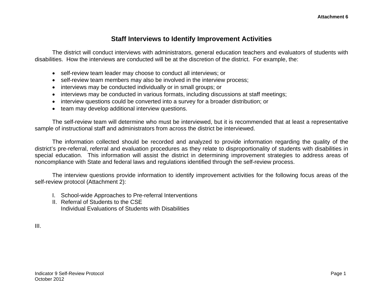# **Staff Interviews to Identify Improvement Activities**

The district will conduct interviews with administrators, general education teachers and evaluators of students with disabilities. How the interviews are conducted will be at the discretion of the district. For example, the:

- self-review team leader may choose to conduct all interviews; or
- self-review team members may also be involved in the interview process;
- interviews may be conducted individually or in small groups; or
- interviews may be conducted in various formats, including discussions at staff meetings;
- interview questions could be converted into a survey for a broader distribution; or
- team may develop additional interview questions.

The self-review team will determine who must be interviewed, but it is recommended that at least a representative sample of instructional staff and administrators from across the district be interviewed.

The information collected should be recorded and analyzed to provide information regarding the quality of the district's pre-referral, referral and evaluation procedures as they relate to disproportionality of students with disabilities in special education. This information will assist the district in determining improvement strategies to address areas of noncompliance with State and federal laws and regulations identified through the self-review process.

The interview questions provide information to identify improvement activities for the following focus areas of the self-review protocol (Attachment 2):

- I. School-wide Approaches to Pre-referral Interventions
- II. Referral of Students to the CSE Individual Evaluations of Students with Disabilities

III.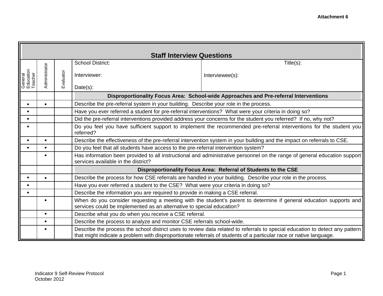|                                 | <b>Staff Interview Questions</b> |                                                                                                                                                                                             |                                                                                                                                  |                                                                                                                                                                                                                                                    |  |  |
|---------------------------------|----------------------------------|---------------------------------------------------------------------------------------------------------------------------------------------------------------------------------------------|----------------------------------------------------------------------------------------------------------------------------------|----------------------------------------------------------------------------------------------------------------------------------------------------------------------------------------------------------------------------------------------------|--|--|
|                                 |                                  |                                                                                                                                                                                             | <b>School District:</b>                                                                                                          | Title(s):                                                                                                                                                                                                                                          |  |  |
| General<br>Education<br>Teacher | Administrator                    | Evaluator                                                                                                                                                                                   | Interviewer:                                                                                                                     | Interviewee(s):                                                                                                                                                                                                                                    |  |  |
|                                 |                                  |                                                                                                                                                                                             | Date(s):                                                                                                                         |                                                                                                                                                                                                                                                    |  |  |
|                                 |                                  |                                                                                                                                                                                             |                                                                                                                                  | Disproportionality Focus Area: School-wide Approaches and Pre-referral Interventions                                                                                                                                                               |  |  |
|                                 | $\bullet$                        |                                                                                                                                                                                             | Describe the pre-referral system in your building. Describe your role in the process.                                            |                                                                                                                                                                                                                                                    |  |  |
| $\bullet$                       |                                  |                                                                                                                                                                                             | Have you ever referred a student for pre-referral interventions? What were your criteria in doing so?                            |                                                                                                                                                                                                                                                    |  |  |
|                                 |                                  |                                                                                                                                                                                             |                                                                                                                                  | Did the pre-referral interventions provided address your concerns for the student you referred? If no, why not?                                                                                                                                    |  |  |
|                                 |                                  |                                                                                                                                                                                             | Do you feel you have sufficient support to implement the recommended pre-referral interventions for the student you<br>referred? |                                                                                                                                                                                                                                                    |  |  |
|                                 |                                  |                                                                                                                                                                                             |                                                                                                                                  | Describe the effectiveness of the pre-referral intervention system in your building and the impact on referrals to CSE.                                                                                                                            |  |  |
|                                 | $\bullet$                        |                                                                                                                                                                                             | Do you feel that all students have access to the pre-referral intervention system?                                               |                                                                                                                                                                                                                                                    |  |  |
|                                 |                                  |                                                                                                                                                                                             | services available in the district?                                                                                              | Has information been provided to all instructional and administrative personnel on the range of general education support                                                                                                                          |  |  |
|                                 |                                  |                                                                                                                                                                                             |                                                                                                                                  | Disproportionality Focus Area: Referral of Students to the CSE                                                                                                                                                                                     |  |  |
|                                 | $\bullet$                        |                                                                                                                                                                                             | Describe the process for how CSE referrals are handled in your building. Describe your role in the process.                      |                                                                                                                                                                                                                                                    |  |  |
|                                 |                                  |                                                                                                                                                                                             | Have you ever referred a student to the CSE? What were your criteria in doing so?                                                |                                                                                                                                                                                                                                                    |  |  |
|                                 |                                  |                                                                                                                                                                                             | Describe the information you are required to provide in making a CSE referral.                                                   |                                                                                                                                                                                                                                                    |  |  |
|                                 | $\bullet$                        | When do you consider requesting a meeting with the student's parent to determine if general education supports and<br>services could be implemented as an alternative to special education? |                                                                                                                                  |                                                                                                                                                                                                                                                    |  |  |
|                                 | $\bullet$                        |                                                                                                                                                                                             | Describe what you do when you receive a CSE referral.                                                                            |                                                                                                                                                                                                                                                    |  |  |
|                                 | $\bullet$                        |                                                                                                                                                                                             | Describe the process to analyze and monitor CSE referrals school-wide.                                                           |                                                                                                                                                                                                                                                    |  |  |
|                                 | $\bullet$                        |                                                                                                                                                                                             |                                                                                                                                  | Describe the process the school district uses to review data related to referrals to special education to detect any pattern<br>that might indicate a problem with disproportionate referrals of students of a particular race or native language. |  |  |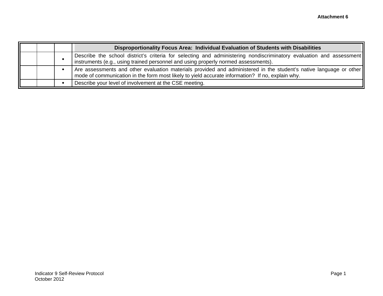|  | Disproportionality Focus Area: Individual Evaluation of Students with Disabilities                                                                                                                                     |
|--|------------------------------------------------------------------------------------------------------------------------------------------------------------------------------------------------------------------------|
|  | Describe the school district's criteria for selecting and administering nondiscriminatory evaluation and assessment<br>instruments (e.g., using trained personnel and using properly normed assessments).              |
|  | Are assessments and other evaluation materials provided and administered in the student's native language or other<br>mode of communication in the form most likely to yield accurate information? If no, explain why. |
|  | Describe your level of involvement at the CSE meeting.                                                                                                                                                                 |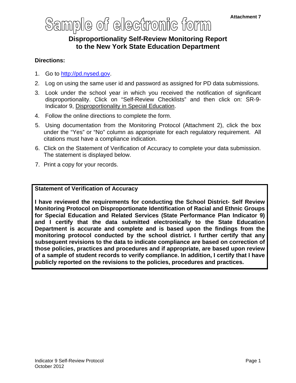# Sample of electronic form

# **Disproportionality Self-Review Monitoring Report to the New York State Education Department**

#### **Directions:**

- 1. Go to http://pd.nysed.gov.
- 2. Log on using the same user id and password as assigned for PD data submissions.
- 3. Look under the school year in which you received the notification of significant disproportionality. Click on "Self-Review Checklists" and then click on: SR-9- Indicator 9, Disproportionality in Special Education.
- 4. Follow the online directions to complete the form.
- 5. Using documentation from the Monitoring Protocol (Attachment 2), click the box under the "Yes" or "No" column as appropriate for each regulatory requirement. All citations must have a compliance indication.
- 6. Click on the Statement of Verification of Accuracy to complete your data submission. The statement is displayed below.
- 7. Print a copy for your records.

#### **Statement of Verification of Accuracy**

**I have reviewed the requirements for conducting the School District- Self Review Monitoring Protocol on Disproportionate Identification of Racial and Ethnic Groups for Special Education and Related Services (State Performance Plan Indicator 9) and I certify that the data submitted electronically to the State Education Department is accurate and complete and is based upon the findings from the monitoring protocol conducted by the school district. I further certify that any subsequent revisions to the data to indicate compliance are based on correction of those policies, practices and procedures and if appropriate, are based upon review of a sample of student records to verify compliance. In addition, I certify that I have publicly reported on the revisions to the policies, procedures and practices.**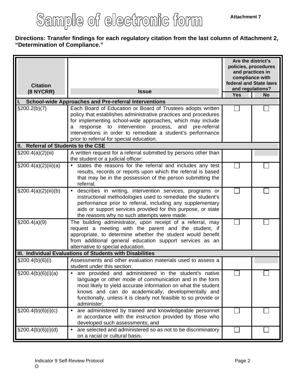# Sample of electronic form

#### **Directions: Transfer findings for each regulatory citation from the last column of Attachment 2, "Determination of Compliance."**

| <b>Citation</b><br>(8 NYCRR)        | <b>Issue</b>                                                                                                                                                                                                                                                                                                               | Are the district's<br>policies, procedures<br>and practices in<br>compliance with<br>federal and State laws<br>and regulations?<br><b>Yes</b><br><b>No</b> |  |  |
|-------------------------------------|----------------------------------------------------------------------------------------------------------------------------------------------------------------------------------------------------------------------------------------------------------------------------------------------------------------------------|------------------------------------------------------------------------------------------------------------------------------------------------------------|--|--|
|                                     | <b>School-wide Approaches and Pre-referral Interventions</b>                                                                                                                                                                                                                                                               |                                                                                                                                                            |  |  |
| $\S200.2(b)(7)$                     | Each Board of Education or Board of Trustees adopts written                                                                                                                                                                                                                                                                |                                                                                                                                                            |  |  |
|                                     | policy that establishes administrative practices and procedures<br>for implementing school-wide approaches, which may include<br>response to intervention process, and pre-referral<br>a<br>interventions in order to remediate a student's performance<br>prior to referral for special education.                        |                                                                                                                                                            |  |  |
| II. Referral of Students to the CSE |                                                                                                                                                                                                                                                                                                                            |                                                                                                                                                            |  |  |
| $\S200.4(a)(2)(iii)$                | A written request for a referral submitted by persons other than<br>the student or a judicial officer:                                                                                                                                                                                                                     |                                                                                                                                                            |  |  |
| $\S200.4(a)(2)(iii)(a)$             | states the reasons for the referral and includes any test<br>results, records or reports upon which the referral is based<br>that may be in the possession of the person submitting the<br>referral.                                                                                                                       |                                                                                                                                                            |  |  |
| $\S 200.4(a)(2)(iii)(b)$            | describes in writing, intervention services, programs or<br>$\bullet$<br>instructional methodologies used to remediate the student's<br>performance prior to referral, including any supplementary<br>aids or support services provided for this purpose, or state<br>the reasons why no such attempts were made.          |                                                                                                                                                            |  |  |
| \$200.4(a)(9)                       | The building administrator, upon receipt of a referral, may<br>request a meeting with the parent and the student, if<br>appropriate, to determine whether the student would benefit<br>from additional general education support services as an<br>alternative to special education.                                       |                                                                                                                                                            |  |  |
|                                     | III. Individual Evaluations of Students with Disabilities                                                                                                                                                                                                                                                                  |                                                                                                                                                            |  |  |
| $\S 200.4(b)(6)(i)$                 | Assessments and other evaluation materials used to assess a<br>student under this section:                                                                                                                                                                                                                                 |                                                                                                                                                            |  |  |
| \$200.4(b)(6)(i)(a)                 | are provided and administered in the student's native<br>language or other mode of communication and in the form<br>most likely to yield accurate information on what the student<br>knows and can do academically, developmentally and<br>functionally, unless it is clearly not feasible to so provide or<br>administer; |                                                                                                                                                            |  |  |
| $\S200.4(b)(6)(i)(c)$               | are administered by trained and knowledgeable personnel<br>$\bullet$<br>in accordance with the instruction provided by those who<br>developed such assessments; and                                                                                                                                                        |                                                                                                                                                            |  |  |
| $\S200.4(b)(6)(i)(d)$               | are selected and administered so as not to be discriminatory<br>on a racial or cultural basis.                                                                                                                                                                                                                             |                                                                                                                                                            |  |  |